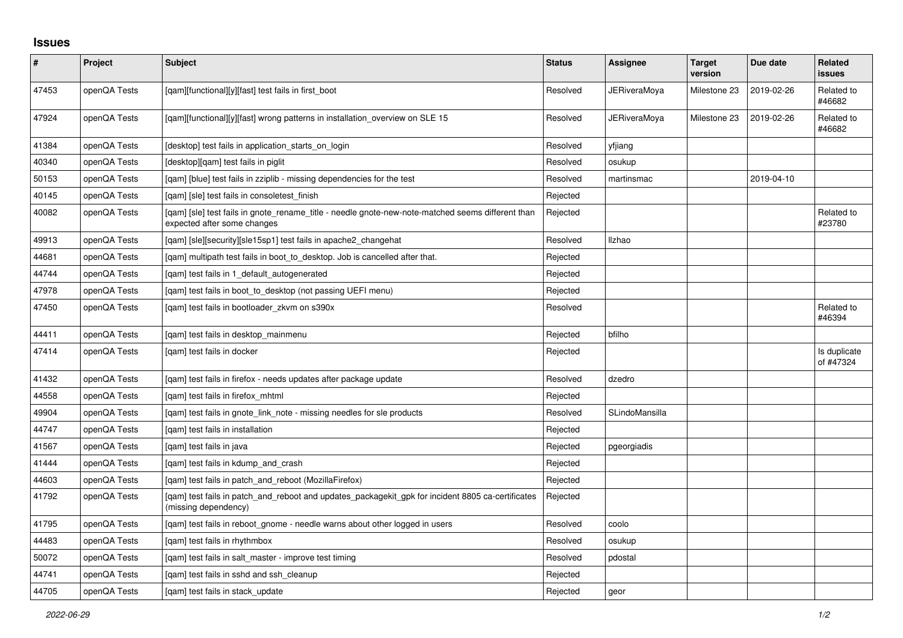## **Issues**

| $\sharp$ | Project      | <b>Subject</b>                                                                                                                   | <b>Status</b> | Assignee            | <b>Target</b><br>version | Due date   | Related<br>issues         |
|----------|--------------|----------------------------------------------------------------------------------------------------------------------------------|---------------|---------------------|--------------------------|------------|---------------------------|
| 47453    | openQA Tests | [qam][functional][y][fast] test fails in first_boot                                                                              | Resolved      | <b>JERiveraMoya</b> | Milestone 23             | 2019-02-26 | Related to<br>#46682      |
| 47924    | openQA Tests | [gam][functional][y][fast] wrong patterns in installation overview on SLE 15                                                     | Resolved      | <b>JERiveraMoya</b> | Milestone 23             | 2019-02-26 | Related to<br>#46682      |
| 41384    | openQA Tests | [desktop] test fails in application starts on login                                                                              | Resolved      | yfjiang             |                          |            |                           |
| 40340    | openQA Tests | [desktop][qam] test fails in piglit                                                                                              | Resolved      | osukup              |                          |            |                           |
| 50153    | openQA Tests | [qam] [blue] test fails in zziplib - missing dependencies for the test                                                           | Resolved      | martinsmac          |                          | 2019-04-10 |                           |
| 40145    | openQA Tests | [gam] [sle] test fails in consoletest finish                                                                                     | Rejected      |                     |                          |            |                           |
| 40082    | openQA Tests | [gam] [sle] test fails in gnote rename title - needle gnote-new-note-matched seems different than<br>expected after some changes | Rejected      |                     |                          |            | Related to<br>#23780      |
| 49913    | openQA Tests | [gam] [sle][security][sle15sp1] test fails in apache2 changehat                                                                  | Resolved      | llzhao              |                          |            |                           |
| 44681    | openQA Tests | [qam] multipath test fails in boot_to_desktop. Job is cancelled after that.                                                      | Rejected      |                     |                          |            |                           |
| 44744    | openQA Tests | [gam] test fails in 1 default autogenerated                                                                                      | Rejected      |                     |                          |            |                           |
| 47978    | openQA Tests | [gam] test fails in boot to desktop (not passing UEFI menu)                                                                      | Rejected      |                     |                          |            |                           |
| 47450    | openQA Tests | [gam] test fails in bootloader zkvm on s390x                                                                                     | Resolved      |                     |                          |            | Related to<br>#46394      |
| 44411    | openQA Tests | [qam] test fails in desktop_mainmenu                                                                                             | Rejected      | bfilho              |                          |            |                           |
| 47414    | openQA Tests | [gam] test fails in docker                                                                                                       | Rejected      |                     |                          |            | Is duplicate<br>of #47324 |
| 41432    | openQA Tests | [qam] test fails in firefox - needs updates after package update                                                                 | Resolved      | dzedro              |                          |            |                           |
| 44558    | openQA Tests | [gam] test fails in firefox mhtml                                                                                                | Rejected      |                     |                          |            |                           |
| 49904    | openQA Tests | [gam] test fails in gnote link note - missing needles for sle products                                                           | Resolved      | SLindoMansilla      |                          |            |                           |
| 44747    | openQA Tests | [gam] test fails in installation                                                                                                 | Rejected      |                     |                          |            |                           |
| 41567    | openQA Tests | [qam] test fails in java                                                                                                         | Rejected      | pgeorgiadis         |                          |            |                           |
| 41444    | openQA Tests | [gam] test fails in kdump and crash                                                                                              | Rejected      |                     |                          |            |                           |
| 44603    | openQA Tests | [gam] test fails in patch and reboot (MozillaFirefox)                                                                            | Rejected      |                     |                          |            |                           |
| 41792    | openQA Tests | [qam] test fails in patch_and_reboot and updates_packagekit_gpk for incident 8805 ca-certificates<br>(missing dependency)        | Rejected      |                     |                          |            |                           |
| 41795    | openQA Tests | [gam] test fails in reboot gnome - needle warns about other logged in users                                                      | Resolved      | coolo               |                          |            |                           |
| 44483    | openQA Tests | [gam] test fails in rhythmbox                                                                                                    | Resolved      | osukup              |                          |            |                           |
| 50072    | openQA Tests | [gam] test fails in salt master - improve test timing                                                                            | Resolved      | pdostal             |                          |            |                           |
| 44741    | openQA Tests | [gam] test fails in sshd and ssh cleanup                                                                                         | Rejected      |                     |                          |            |                           |
| 44705    | openQA Tests | [gam] test fails in stack update                                                                                                 | Rejected      | geor                |                          |            |                           |